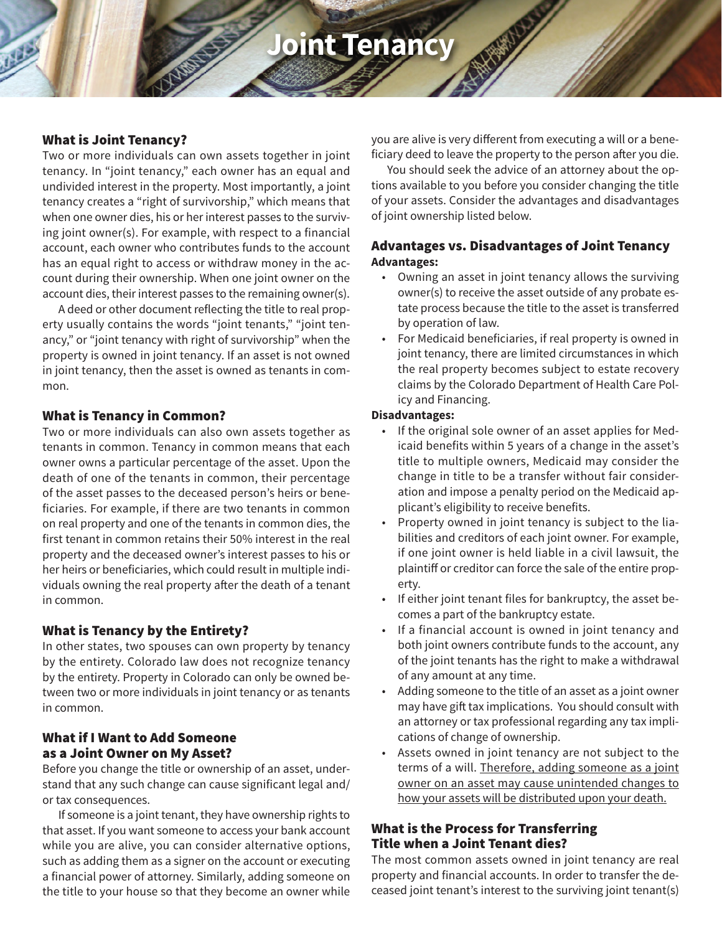# **Joint Tenancy**

#### What is Joint Tenancy?

Two or more individuals can own assets together in joint tenancy. In "joint tenancy," each owner has an equal and undivided interest in the property. Most importantly, a joint tenancy creates a "right of survivorship," which means that when one owner dies, his or her interest passes to the surviving joint owner(s). For example, with respect to a financial account, each owner who contributes funds to the account has an equal right to access or withdraw money in the account during their ownership. When one joint owner on the account dies, their interest passes to the remaining owner(s).

A deed or other document reflecting the title to real property usually contains the words "joint tenants," "joint tenancy," or "joint tenancy with right of survivorship" when the property is owned in joint tenancy. If an asset is not owned in joint tenancy, then the asset is owned as tenants in common.

### What is Tenancy in Common?

Two or more individuals can also own assets together as tenants in common. Tenancy in common means that each owner owns a particular percentage of the asset. Upon the death of one of the tenants in common, their percentage of the asset passes to the deceased person's heirs or beneficiaries. For example, if there are two tenants in common on real property and one of the tenants in common dies, the first tenant in common retains their 50% interest in the real property and the deceased owner's interest passes to his or her heirs or beneficiaries, which could result in multiple individuals owning the real property after the death of a tenant in common.

# What is Tenancy by the Entirety?

In other states, two spouses can own property by tenancy by the entirety. Colorado law does not recognize tenancy by the entirety. Property in Colorado can only be owned between two or more individuals in joint tenancy or as tenants in common.

### What if I Want to Add Someone as a Joint Owner on My Asset?

Before you change the title or ownership of an asset, understand that any such change can cause significant legal and/ or tax consequences.

If someone is a joint tenant, they have ownership rights to that asset. If you want someone to access your bank account while you are alive, you can consider alternative options, such as adding them as a signer on the account or executing a financial power of attorney. Similarly, adding someone on the title to your house so that they become an owner while

you are alive is very different from executing a will or a beneficiary deed to leave the property to the person after you die.

You should seek the advice of an attorney about the options available to you before you consider changing the title of your assets. Consider the advantages and disadvantages of joint ownership listed below.

# Advantages vs. Disadvantages of Joint Tenancy **Advantages:**

- Owning an asset in joint tenancy allows the surviving owner(s) to receive the asset outside of any probate estate process because the title to the asset is transferred by operation of law.
- For Medicaid beneficiaries, if real property is owned in joint tenancy, there are limited circumstances in which the real property becomes subject to estate recovery claims by the Colorado Department of Health Care Policy and Financing.

#### **Disadvantages:**

- If the original sole owner of an asset applies for Medicaid benefits within 5 years of a change in the asset's title to multiple owners, Medicaid may consider the change in title to be a transfer without fair consideration and impose a penalty period on the Medicaid applicant's eligibility to receive benefits.
- Property owned in joint tenancy is subject to the liabilities and creditors of each joint owner. For example, if one joint owner is held liable in a civil lawsuit, the plaintiff or creditor can force the sale of the entire property.
- If either joint tenant files for bankruptcy, the asset becomes a part of the bankruptcy estate.
- If a financial account is owned in joint tenancy and both joint owners contribute funds to the account, any of the joint tenants has the right to make a withdrawal of any amount at any time.
- Adding someone to the title of an asset as a joint owner may have gift tax implications. You should consult with an attorney or tax professional regarding any tax implications of change of ownership.
- Assets owned in joint tenancy are not subject to the terms of a will. Therefore, adding someone as a joint owner on an asset may cause unintended changes to how your assets will be distributed upon your death.

# What is the Process for Transferring Title when a Joint Tenant dies?

The most common assets owned in joint tenancy are real property and financial accounts. In order to transfer the deceased joint tenant's interest to the surviving joint tenant(s)